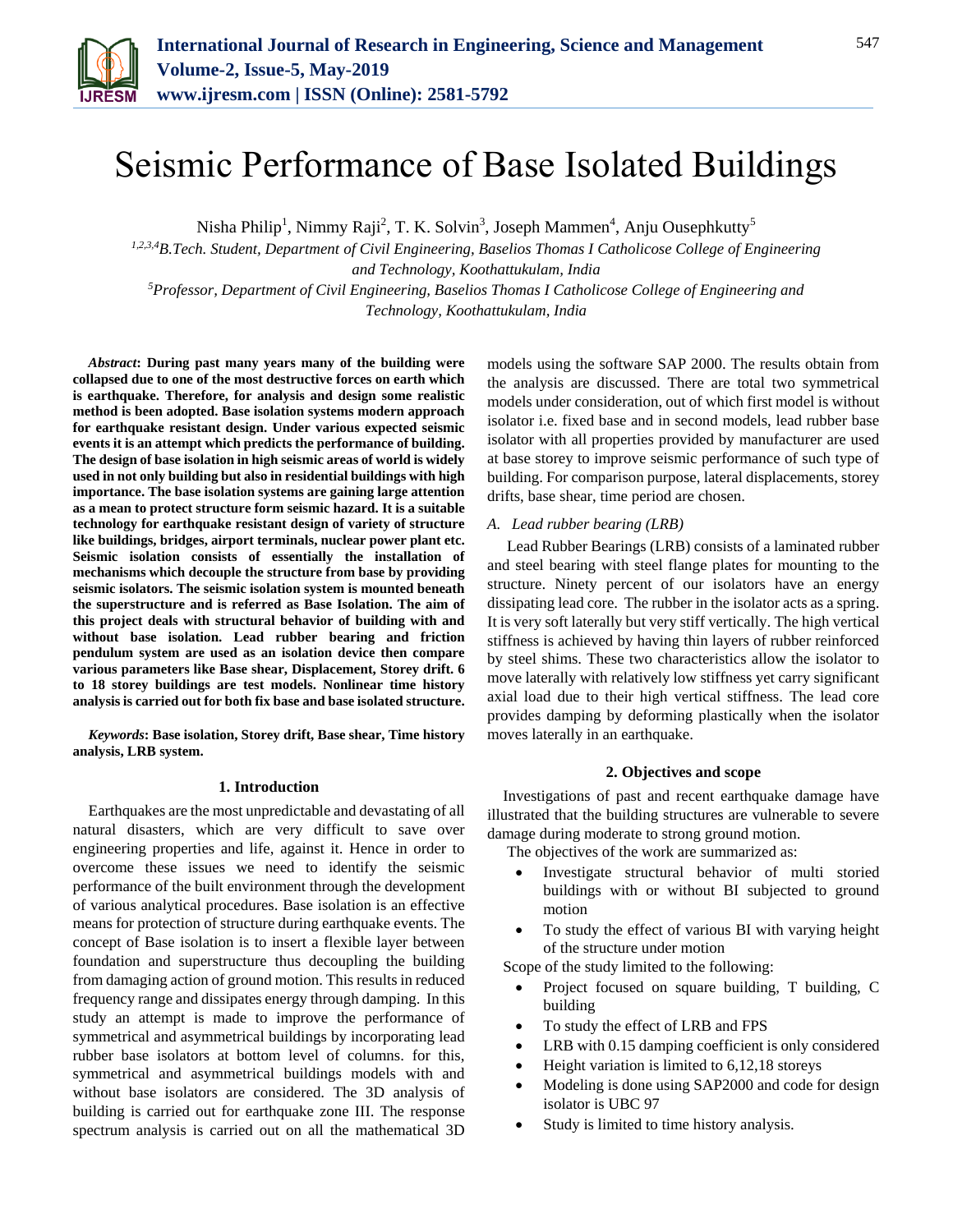

# Seismic Performance of Base Isolated Buildings

Nisha Philip<sup>1</sup>, Nimmy Raji<sup>2</sup>, T. K. Solvin<sup>3</sup>, Joseph Mammen<sup>4</sup>, Anju Ousephkutty<sup>5</sup>

*1,2,3,4B.Tech. Student, Department of Civil Engineering, Baselios Thomas I Catholicose College of Engineering and Technology, Koothattukulam, India <sup>5</sup>Professor, Department of Civil Engineering, Baselios Thomas I Catholicose College of Engineering and Technology, Koothattukulam, India*

*Abstract***: During past many years many of the building were collapsed due to one of the most destructive forces on earth which is earthquake. Therefore, for analysis and design some realistic method is been adopted. Base isolation systems modern approach for earthquake resistant design. Under various expected seismic events it is an attempt which predicts the performance of building. The design of base isolation in high seismic areas of world is widely used in not only building but also in residential buildings with high importance. The base isolation systems are gaining large attention as a mean to protect structure form seismic hazard. It is a suitable technology for earthquake resistant design of variety of structure like buildings, bridges, airport terminals, nuclear power plant etc. Seismic isolation consists of essentially the installation of mechanisms which decouple the structure from base by providing seismic isolators. The seismic isolation system is mounted beneath the superstructure and is referred as Base Isolation. The aim of this project deals with structural behavior of building with and without base isolation. Lead rubber bearing and friction pendulum system are used as an isolation device then compare various parameters like Base shear, Displacement, Storey drift. 6 to 18 storey buildings are test models. Nonlinear time history analysis is carried out for both fix base and base isolated structure.**

*Keywords***: Base isolation, Storey drift, Base shear, Time history analysis, LRB system.**

### **1. Introduction**

Earthquakes are the most unpredictable and devastating of all natural disasters, which are very difficult to save over engineering properties and life, against it. Hence in order to overcome these issues we need to identify the seismic performance of the built environment through the development of various analytical procedures. Base isolation is an effective means for protection of structure during earthquake events. The concept of Base isolation is to insert a flexible layer between foundation and superstructure thus decoupling the building from damaging action of ground motion. This results in reduced frequency range and dissipates energy through damping. In this study an attempt is made to improve the performance of symmetrical and asymmetrical buildings by incorporating lead rubber base isolators at bottom level of columns. for this, symmetrical and asymmetrical buildings models with and without base isolators are considered. The 3D analysis of building is carried out for earthquake zone III. The response spectrum analysis is carried out on all the mathematical 3D models using the software SAP 2000. The results obtain from the analysis are discussed. There are total two symmetrical models under consideration, out of which first model is without isolator i.e. fixed base and in second models, lead rubber base isolator with all properties provided by manufacturer are used at base storey to improve seismic performance of such type of building. For comparison purpose, lateral displacements, storey drifts, base shear, time period are chosen.

#### *A. Lead rubber bearing (LRB)*

Lead Rubber Bearings (LRB) consists of a laminated rubber and steel bearing with steel flange plates for mounting to the structure. Ninety percent of our isolators have an energy dissipating lead core. The rubber in the isolator acts as a spring. It is very soft laterally but very stiff vertically. The high vertical stiffness is achieved by having thin layers of rubber reinforced by steel shims. These two characteristics allow the isolator to move laterally with relatively low stiffness yet carry significant axial load due to their high vertical stiffness. The lead core provides damping by deforming plastically when the isolator moves laterally in an earthquake.

### **2. Objectives and scope**

Investigations of past and recent earthquake damage have illustrated that the building structures are vulnerable to severe damage during moderate to strong ground motion.

The objectives of the work are summarized as:

- Investigate structural behavior of multi storied buildings with or without BI subjected to ground motion
- To study the effect of various BI with varying height of the structure under motion

Scope of the study limited to the following:

- Project focused on square building, T building, C building
- To study the effect of LRB and FPS
- LRB with 0.15 damping coefficient is only considered
- Height variation is limited to 6,12,18 storeys
- Modeling is done using SAP2000 and code for design isolator is UBC 97
- Study is limited to time history analysis.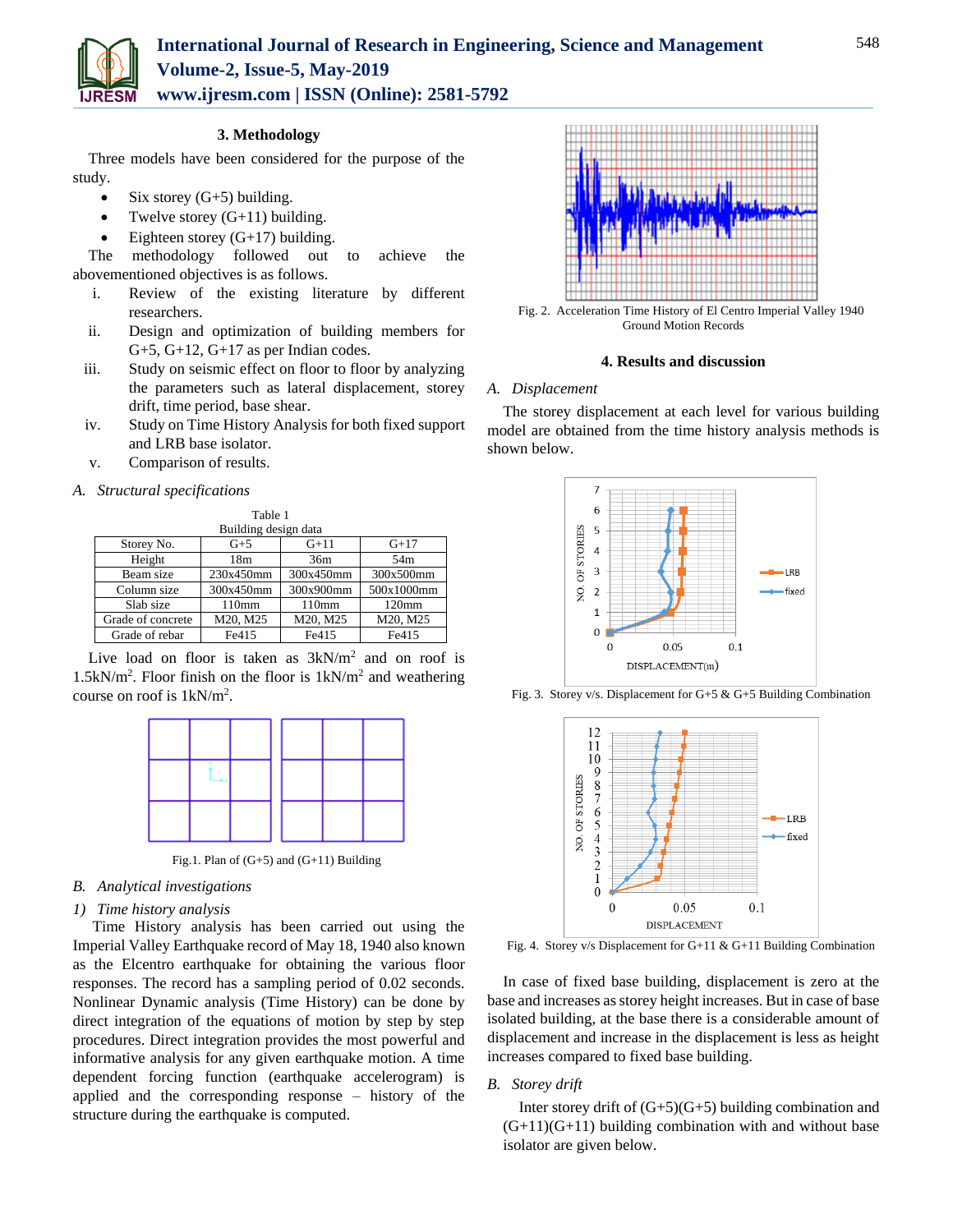

**3. Methodology**

Three models have been considered for the purpose of the study.

- Six storey  $(G+5)$  building.
- Twelve storey  $(G+11)$  building.
- Eighteen storey  $(G+17)$  building.

The methodology followed out to achieve the abovementioned objectives is as follows.

- i. Review of the existing literature by different researchers.
- ii. Design and optimization of building members for  $G+5$ ,  $G+12$ ,  $G+17$  as per Indian codes.
- iii. Study on seismic effect on floor to floor by analyzing the parameters such as lateral displacement, storey drift, time period, base shear.
- iv. Study on Time History Analysis for both fixed support and LRB base isolator.
- v. Comparison of results.

#### *A. Structural specifications*

| Table 1              |                 |           |                   |  |  |  |
|----------------------|-----------------|-----------|-------------------|--|--|--|
| Building design data |                 |           |                   |  |  |  |
| Storey No.           | $G+5$           | $G+11$    | $G+17$            |  |  |  |
| Height               | 18 <sub>m</sub> | 36m       | 54 <sub>m</sub>   |  |  |  |
| Beam size            | 230x450mm       | 300x450mm | 300x500mm         |  |  |  |
| Column size          | 300x450mm       | 300x900mm | 500x1000mm        |  |  |  |
| Slab size            | 110mm           | 110mm     | 120 <sub>mm</sub> |  |  |  |
| Grade of concrete    | M20, M25        | M20, M25  | M20, M25          |  |  |  |
| Grade of rebar       | Fe415           | Fe415     | Fe415             |  |  |  |

Live load on floor is taken as  $3kN/m^2$  and on roof is  $1.5kN/m<sup>2</sup>$ . Floor finish on the floor is  $1kN/m<sup>2</sup>$  and weathering course on roof is 1kN/m<sup>2</sup> .



Fig.1. Plan of (G+5) and (G+11) Building

## *B. Analytical investigations*

#### *1) Time history analysis*

Time History analysis has been carried out using the Imperial Valley Earthquake record of May 18, 1940 also known as the Elcentro earthquake for obtaining the various floor responses. The record has a sampling period of 0.02 seconds. Nonlinear Dynamic analysis (Time History) can be done by direct integration of the equations of motion by step by step procedures. Direct integration provides the most powerful and informative analysis for any given earthquake motion. A time dependent forcing function (earthquake accelerogram) is applied and the corresponding response – history of the structure during the earthquake is computed.



Fig. 2. Acceleration Time History of El Centro Imperial Valley 1940 Ground Motion Records

## **4. Results and discussion**

#### *A. Displacement*

The storey displacement at each level for various building model are obtained from the time history analysis methods is shown below.



Fig. 3. Storey v/s. Displacement for G+5 & G+5 Building Combination



Fig. 4. Storey v/s Displacement for G+11 & G+11 Building Combination

In case of fixed base building, displacement is zero at the base and increases as storey height increases. But in case of base isolated building, at the base there is a considerable amount of displacement and increase in the displacement is less as height increases compared to fixed base building.

# *B. Storey drift*

Inter storey drift of  $(G+5)(G+5)$  building combination and  $(G+11)(G+11)$  building combination with and without base isolator are given below.